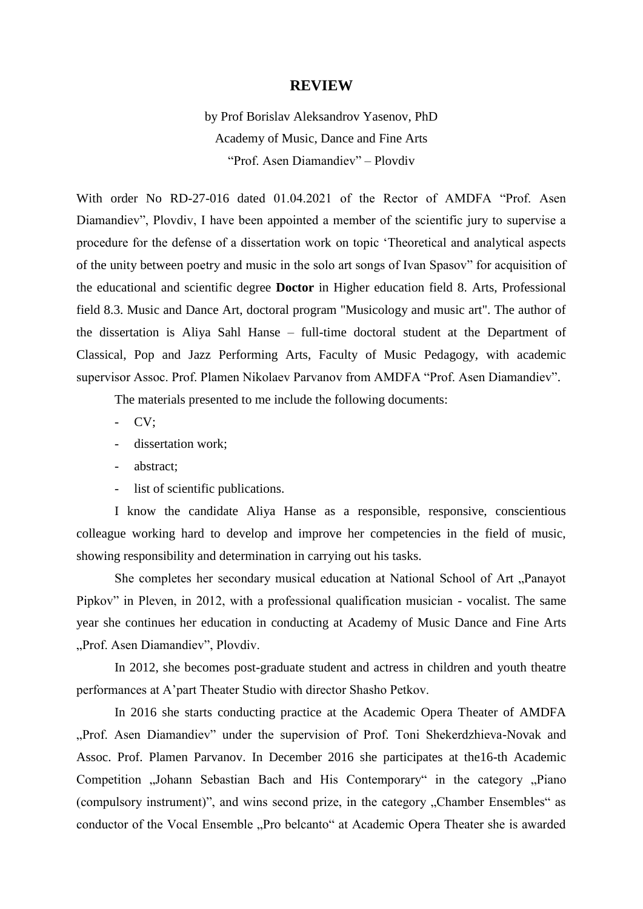## **REVIEW**

by Prof Borislav Aleksandrov Yasenov, PhD Academy of Music, Dance and Fine Arts "Prof. Asen Diamandiev" – Plovdiv

With order No RD-27-016 dated 01.04.2021 of the Rector of AMDFA "Prof. Asen Diamandiev", Plovdiv, I have been appointed a member of the scientific jury to supervise a procedure for the defense of a dissertation work on topic "Theoretical and analytical aspects of the unity between poetry and music in the solo art songs of Ivan Spasov" for acquisition of the educational and scientific degree **Doctor** in Higher education field 8. Arts, Professional field 8.3. Music and Dance Art, doctoral program "Musicology and music art". The author of the dissertation is Aliya Sahl Hanse – full-time doctoral student at the Department of Classical, Pop and Jazz Performing Arts, Faculty of Music Pedagogy, with academic supervisor Assoc. Prof. Plamen Nikolaev Parvanov from AMDFA "Prof. Asen Diamandiev".

The materials presented to me include the following documents:

- CV;
- dissertation work;
- abstract;
- list of scientific publications.

I know the candidate Aliya Hanse as a responsible, responsive, conscientious colleague working hard to develop and improve her competencies in the field of music, showing responsibility and determination in carrying out his tasks.

She completes her secondary musical education at National School of Art "Panayot Pipkov" in Pleven, in 2012, with a professional qualification musician - vocalist. The same year she continues her education in conducting at Academy of Music Dance and Fine Arts "Prof. Asen Diamandiev", Plovdiv.

In 2012, she becomes post-graduate student and actress in children and youth theatre performances at A"part Theater Studio with director Shasho Petkov.

In 2016 she starts conducting practice at the Academic Opera Theater of AMDFA "Prof. Asen Diamandiev" under the supervision of Prof. Toni Shekerdzhieva-Novak and Assoc. Prof. Plamen Parvanov. In December 2016 she participates at the16-th Academic Competition "Johann Sebastian Bach and His Contemporary" in the category "Piano (compulsory instrument)", and wins second prize, in the category "Chamber Ensembles" as conductor of the Vocal Ensemble "Pro belcanto" at Academic Opera Theater she is awarded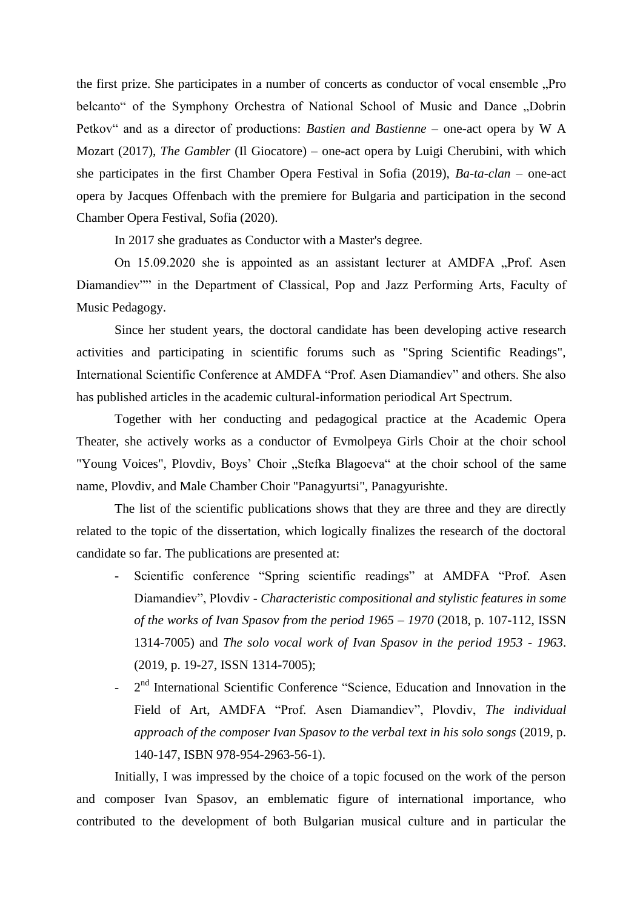the first prize. She participates in a number of concerts as conductor of vocal ensemble "Pro belcanto" of the Symphony Orchestra of National School of Music and Dance "Dobrin Petkov" and as a director of productions: *Bastien and Bastienne* – one-act opera by W A Mozart (2017), *The Gambler* (Il Giocatore) – one-act opera by Luigi Cherubini, with which she participates in the first Chamber Opera Festival in Sofia (2019), *Ba-ta-clan* – one-act opera by Jacques Offenbach with the premiere for Bulgaria and participation in the second Chamber Opera Festival, Sofia (2020).

In 2017 she graduates as Conductor with a Master's degree.

On 15.09.2020 she is appointed as an assistant lecturer at AMDFA "Prof. Asen Diamandiev"" in the Department of Classical, Pop and Jazz Performing Arts, Faculty of Music Pedagogy.

Since her student years, the doctoral candidate has been developing active research activities and participating in scientific forums such as "Spring Scientific Readings", International Scientific Conference at AMDFA "Prof. Asen Diamandiev" and others. She also has published articles in the academic cultural-information periodical Art Spectrum.

Together with her conducting and pedagogical practice at the Academic Opera Theater, she actively works as a conductor of Evmolpeya Girls Choir at the choir school "Young Voices", Plovdiv, Boys' Choir "Stefka Blagoeva" at the choir school of the same name, Plovdiv, and Male Chamber Choir "Panagyurtsi", Panagyurishte.

The list of the scientific publications shows that they are three and they are directly related to the topic of the dissertation, which logically finalizes the research of the doctoral candidate so far. The publications are presented at:

- Scientific conference "Spring scientific readings" at AMDFA "Prof. Asen Diamandiev", Plovdiv - *Characteristic compositional and stylistic features in some of the works of Ivan Spasov from the period 1965 – 1970* (2018, p. 107-112, ISSN 1314-7005) and *The solo vocal work of Ivan Spasov in the period 1953 - 1963*. (2019, p. 19-27, ISSN 1314-7005);
- 2<sup>nd</sup> International Scientific Conference "Science, Education and Innovation in the Field of Art, AMDFA "Prof. Asen Diamandiev", Plovdiv, *The individual approach of the composer Ivan Spasov to the verbal text in his solo songs* (2019, p. 140-147, ISBN 978-954-2963-56-1).

Initially, I was impressed by the choice of a topic focused on the work of the person and composer Ivan Spasov, an emblematic figure of international importance, who contributed to the development of both Bulgarian musical culture and in particular the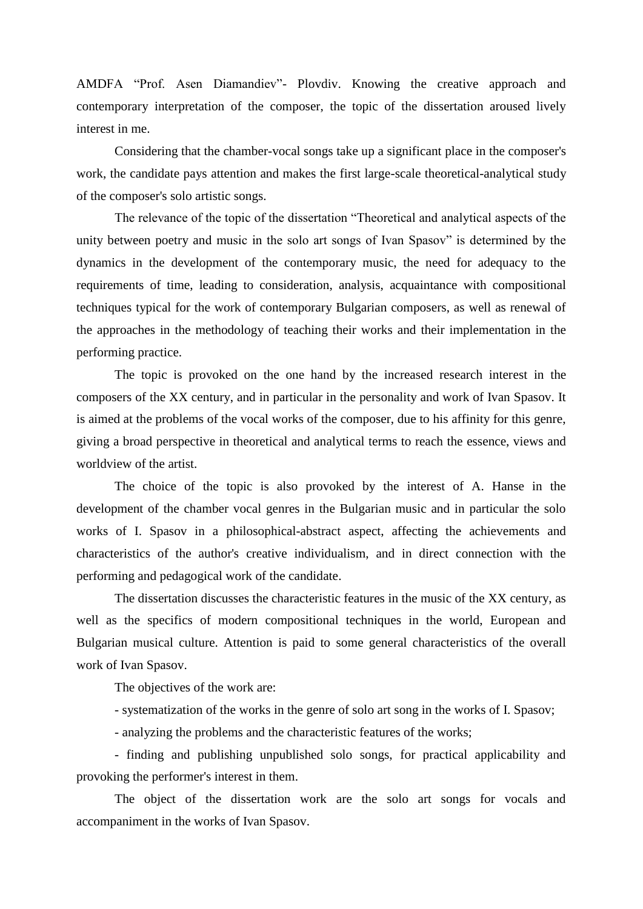AMDFA "Prof. Asen Diamandiev"- Plovdiv. Knowing the creative approach and contemporary interpretation of the composer, the topic of the dissertation aroused lively interest in me.

Considering that the chamber-vocal songs take up a significant place in the composer's work, the candidate pays attention and makes the first large-scale theoretical-analytical study of the composer's solo artistic songs.

The relevance of the topic of the dissertation "Theoretical and analytical aspects of the unity between poetry and music in the solo art songs of Ivan Spasov" is determined by the dynamics in the development of the contemporary music, the need for adequacy to the requirements of time, leading to consideration, analysis, acquaintance with compositional techniques typical for the work of contemporary Bulgarian composers, as well as renewal of the approaches in the methodology of teaching their works and their implementation in the performing practice.

The topic is provoked on the one hand by the increased research interest in the composers of the XX century, and in particular in the personality and work of Ivan Spasov. It is aimed at the problems of the vocal works of the composer, due to his affinity for this genre, giving a broad perspective in theoretical and analytical terms to reach the essence, views and worldview of the artist.

The choice of the topic is also provoked by the interest of A. Hanse in the development of the chamber vocal genres in the Bulgarian music and in particular the solo works of I. Spasov in a philosophical-abstract aspect, affecting the achievements and characteristics of the author's creative individualism, and in direct connection with the performing and pedagogical work of the candidate.

The dissertation discusses the characteristic features in the music of the XX century, as well as the specifics of modern compositional techniques in the world, European and Bulgarian musical culture. Attention is paid to some general characteristics of the overall work of Ivan Spasov.

The objectives of the work are:

- systematization of the works in the genre of solo art song in the works of I. Spasov;

- analyzing the problems and the characteristic features of the works;

- finding and publishing unpublished solo songs, for practical applicability and provoking the performer's interest in them.

The object of the dissertation work are the solo art songs for vocals and accompaniment in the works of Ivan Spasov.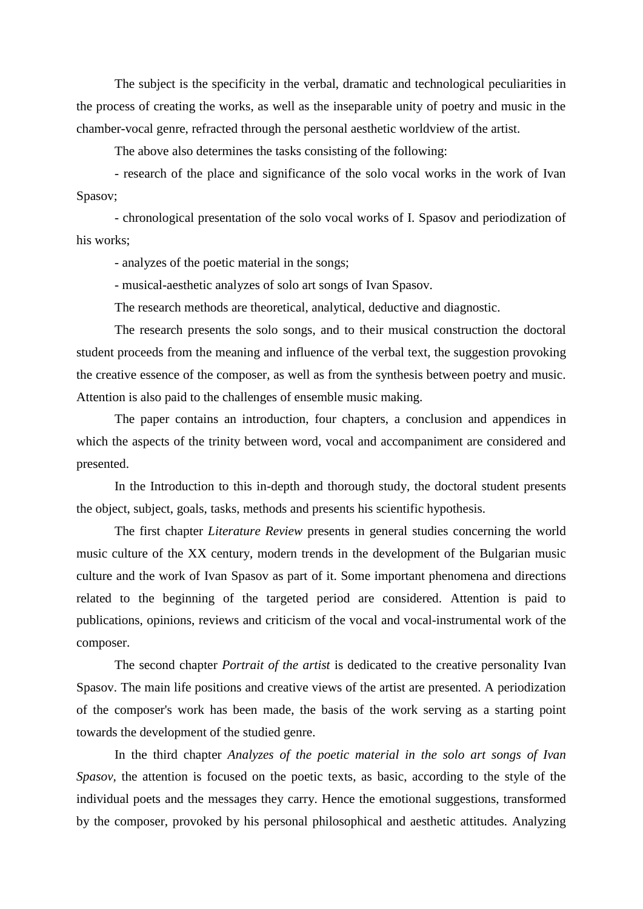The subject is the specificity in the verbal, dramatic and technological peculiarities in the process of creating the works, as well as the inseparable unity of poetry and music in the chamber-vocal genre, refracted through the personal aesthetic worldview of the artist.

The above also determines the tasks consisting of the following:

- research of the place and significance of the solo vocal works in the work of Ivan Spasov;

- chronological presentation of the solo vocal works of I. Spasov and periodization of his works;

- analyzes of the poetic material in the songs;

- musical-aesthetic analyzes of solo art songs of Ivan Spasov.

The research methods are theoretical, analytical, deductive and diagnostic.

The research presents the solo songs, and to their musical construction the doctoral student proceeds from the meaning and influence of the verbal text, the suggestion provoking the creative essence of the composer, as well as from the synthesis between poetry and music. Attention is also paid to the challenges of ensemble music making.

The paper contains an introduction, four chapters, a conclusion and appendices in which the aspects of the trinity between word, vocal and accompaniment are considered and presented.

In the Introduction to this in-depth and thorough study, the doctoral student presents the object, subject, goals, tasks, methods and presents his scientific hypothesis.

The first chapter *Literature Review* presents in general studies concerning the world music culture of the XX century, modern trends in the development of the Bulgarian music culture and the work of Ivan Spasov as part of it. Some important phenomena and directions related to the beginning of the targeted period are considered. Attention is paid to publications, opinions, reviews and criticism of the vocal and vocal-instrumental work of the composer.

The second chapter *Portrait of the artist* is dedicated to the creative personality Ivan Spasov. The main life positions and creative views of the artist are presented. A periodization of the composer's work has been made, the basis of the work serving as a starting point towards the development of the studied genre.

In the third chapter *Analyzes of the poetic material in the solo art songs of Ivan Spasov,* the attention is focused on the poetic texts, as basic, according to the style of the individual poets and the messages they carry. Hence the emotional suggestions, transformed by the composer, provoked by his personal philosophical and aesthetic attitudes. Analyzing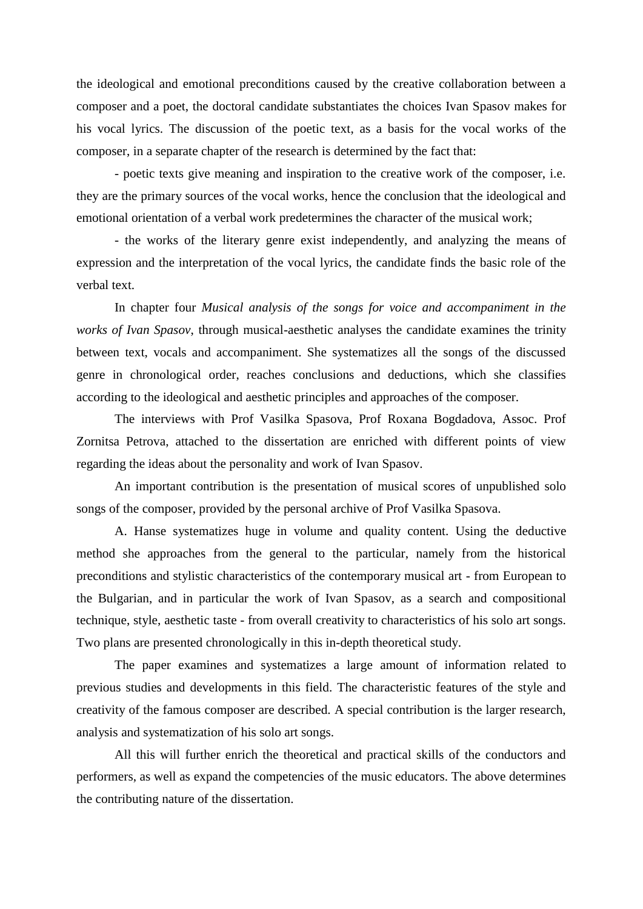the ideological and emotional preconditions caused by the creative collaboration between a composer and a poet, the doctoral candidate substantiates the choices Ivan Spasov makes for his vocal lyrics. The discussion of the poetic text, as a basis for the vocal works of the composer, in a separate chapter of the research is determined by the fact that:

- poetic texts give meaning and inspiration to the creative work of the composer, i.e. they are the primary sources of the vocal works, hence the conclusion that the ideological and emotional orientation of a verbal work predetermines the character of the musical work;

- the works of the literary genre exist independently, and analyzing the means of expression and the interpretation of the vocal lyrics, the candidate finds the basic role of the verbal text.

In chapter four *Musical analysis of the songs for voice and accompaniment in the works of Ivan Spasov*, through musical-aesthetic analyses the candidate examines the trinity between text, vocals and accompaniment. She systematizes all the songs of the discussed genre in chronological order, reaches conclusions and deductions, which she classifies according to the ideological and aesthetic principles and approaches of the composer.

The interviews with Prof Vasilka Spasova, Prof Roxana Bogdadova, Assoc. Prof Zornitsa Petrova, attached to the dissertation are enriched with different points of view regarding the ideas about the personality and work of Ivan Spasov.

An important contribution is the presentation of musical scores of unpublished solo songs of the composer, provided by the personal archive of Prof Vasilka Spasova.

A. Hanse systematizes huge in volume and quality content. Using the deductive method she approaches from the general to the particular, namely from the historical preconditions and stylistic characteristics of the contemporary musical art - from European to the Bulgarian, and in particular the work of Ivan Spasov, as a search and compositional technique, style, aesthetic taste - from overall creativity to characteristics of his solo art songs. Two plans are presented chronologically in this in-depth theoretical study.

The paper examines and systematizes a large amount of information related to previous studies and developments in this field. The characteristic features of the style and creativity of the famous composer are described. A special contribution is the larger research, analysis and systematization of his solo art songs.

All this will further enrich the theoretical and practical skills of the conductors and performers, as well as expand the competencies of the music educators. The above determines the contributing nature of the dissertation.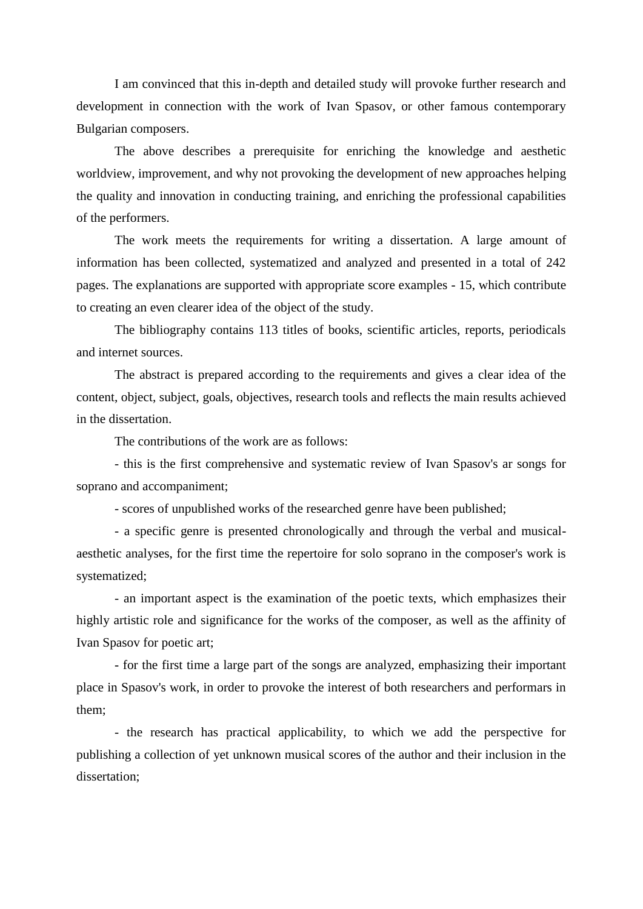I am convinced that this in-depth and detailed study will provoke further research and development in connection with the work of Ivan Spasov, or other famous contemporary Bulgarian composers.

The above describes a prerequisite for enriching the knowledge and aesthetic worldview, improvement, and why not provoking the development of new approaches helping the quality and innovation in conducting training, and enriching the professional capabilities of the performers.

The work meets the requirements for writing a dissertation. A large amount of information has been collected, systematized and analyzed and presented in a total of 242 pages. The explanations are supported with appropriate score examples - 15, which contribute to creating an even clearer idea of the object of the study.

The bibliography contains 113 titles of books, scientific articles, reports, periodicals and internet sources.

The abstract is prepared according to the requirements and gives a clear idea of the content, object, subject, goals, objectives, research tools and reflects the main results achieved in the dissertation.

The contributions of the work are as follows:

- this is the first comprehensive and systematic review of Ivan Spasov's ar songs for soprano and accompaniment;

- scores of unpublished works of the researched genre have been published;

- a specific genre is presented chronologically and through the verbal and musicalaesthetic analyses, for the first time the repertoire for solo soprano in the composer's work is systematized;

- an important aspect is the examination of the poetic texts, which emphasizes their highly artistic role and significance for the works of the composer, as well as the affinity of Ivan Spasov for poetic art;

- for the first time a large part of the songs are analyzed, emphasizing their important place in Spasov's work, in order to provoke the interest of both researchers and performars in them;

- the research has practical applicability, to which we add the perspective for publishing a collection of yet unknown musical scores of the author and their inclusion in the dissertation;